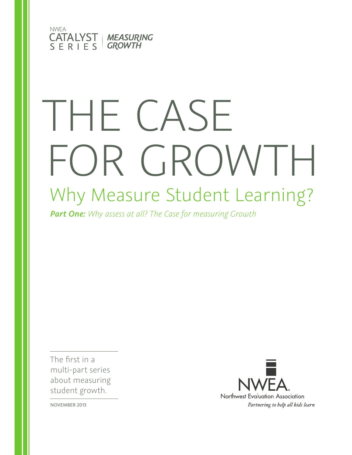

# Why Measure Student Learning? THE CASE FOR GROWTH

*Part One: Why assess at all? The Case for measuring Growth*

The first in a multi-part series about measuring student growth.



NOVEMBER 2013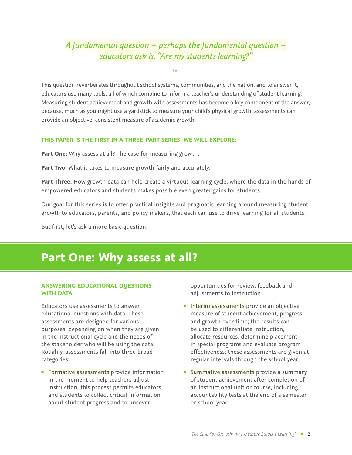### *A fundamental question – perhaps the fundamental question – educators ask is, "Are my students learning?"*

**[** █ **]**

This question reverberates throughout school systems, communities, and the nation, and to answer it, educators use many tools, all of which combine to inform a teacher's understanding of student learning. Measuring student achievement and growth with assessments has become a key component of the answer, because, much as you might use a yardstick to measure your child's physical growth, assessments can provide an objective, consistent measure of academic growth.

#### **THIS PAPER IS THE FIRST IN A THREE-PART SERIES. WE WILL EXPLORE:**

**Part One:** Why assess at all? The case for measuring growth.

**Part Two:** What it takes to measure growth fairly and accurately.

**Part Three:** How growth data can help create a virtuous learning cycle, where the data in the hands of empowered educators and students makes possible even greater gains for students.

Our goal for this series is to offer practical insights and pragmatic learning around measuring student growth to educators, parents, and policy makers, that each can use to drive learning for all students.

But first, let's ask a more basic question.

## **Part One: Why assess at all?**

#### **ANSWERING EDUCATIONAL QUESTIONS WITH DATA**

Educators use assessments to answer educational questions with data. These assessments are designed for various purposes, depending on when they are given in the instructional cycle and the needs of the stakeholder who will be using the data. Roughly, assessments fall into three broad categories:

■ Formative assessments provide information in the moment to help teachers adjust instruction; this process permits educators and students to collect critical information about student progress and to uncover

opportunities for review, feedback and adjustments to instruction.

- **EXECTE:** Interim assessments provide an objective measure of student achievement, progress, and growth over time; the results can be used to differentiate instruction, allocate resources, determine placement in special programs and evaluate program effectiveness; these assessments are given at regular intervals through the school year
- **Example 3 Summative assessments** provide a summary of student achievement after completion of an instructional unit or course, including accountability tests at the end of a semester or school year.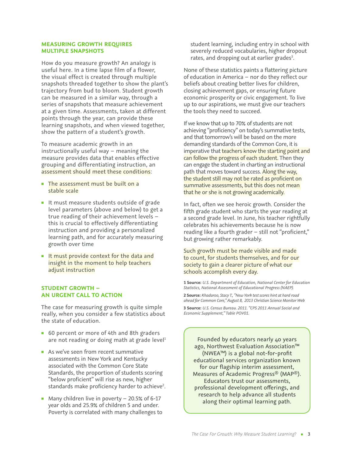#### **MEASURING GROWTH REQUIRES MULTIPLE SNAPSHOTS**

How do you measure growth? An analogy is useful here. In a time lapse film of a flower, the visual effect is created through multiple snapshots threaded together to show the plant's trajectory from bud to bloom. Student growth can be measured in a similar way, through a series of snapshots that measure achievement at a given time. Assessments, taken at different points through the year, can provide these learning snapshots, and when viewed together, show the pattern of a student's growth.

To measure academic growth in an instructionally useful way – meaning the measure provides data that enables effective grouping and differentiating instruction, an assessment should meet these conditions:

- **The assessment must be built on a** stable scale
- It must measure students outside of grade level parameters (above and below) to get a true reading of their achievement levels – this is crucial to effectively differentiating instruction and providing a personalized learning path, and for accurately measuring growth over time
- **EXEC** It must provide context for the data and insight in the moment to help teachers adjust instruction

#### **STUDENT GROWTH – AN URGENT CALL TO ACTION**

The case for measuring growth is quite simple really, when you consider a few statistics about the state of education.

- 60 percent or more of 4th and 8th graders are not reading or doing math at grade level<sup>1</sup>
- As we've seen from recent summative assessments in New York and Kentucky associated with the Common Core State Standards, the proportion of students scoring "below proficient" will rise as new, higher standards make proficiency harder to achieve<sup>2</sup>.
- **Many children live in poverty 20.5% of 6-17** year olds and 25.9% of children 5 and under. Poverty is correlated with many challenges to

student learning, including entry in school with severely reduced vocabularies, higher dropout rates, and dropping out at earlier grades<sup>3</sup>.

None of these statistics paints a flattering picture of education in America – nor do they reflect our beliefs about creating better lives for children, closing achievement gaps, or ensuring future economic prosperity or civic engagement. To live up to our aspirations, we must give our teachers the tools they need to succeed.

If we know that up to 70% of students are not achieving "proficiency" on today's summative tests, and that tomorrow's will be based on the more demanding standards of the Common Core, it is imperative that teachers know the starting point and can follow the progress of each student. Then they can engage the student in charting an instructional path that moves toward success. Along the way, the student still may not be rated as proficient on summative assessments, but this does not mean that he or she is not growing academically.

In fact, often we see heroic growth. Consider the fifth grade student who starts the year reading at a second grade level. In June, his teacher rightfully celebrates his achievements because he is now reading like a fourth grader – still not "proficient," but growing rather remarkably.

Such growth must be made visible and made to count, for students themselves, and for our society to gain a clearer picture of what our schools accomplish every day.

**1 Source:** *U.S. Department of Education, National Center for Education Statistics, National Assessment of Educational Progress (NAEP).*

**2 Source:** *Khadaroo, Stacy T., "New York test scores hint at hard road ahead for Common Core," August 8, 2013 Christian Science Monitor Web*

**3 Source:** *U.S. Census Bureau. 2011. "CPS 2011 Annual Social and Economic Supplement," Table POV01.*

Founded by educators nearly 40 years ago, Northwest Evaluation Association™ (NWEA™) is a global not-for-profit educational services organization known for our flagship interim assessment, Measures of Academic Progress® (MAP®). Educators trust our assessments, professional development oferings, and research to help advance all students along their optimal learning path.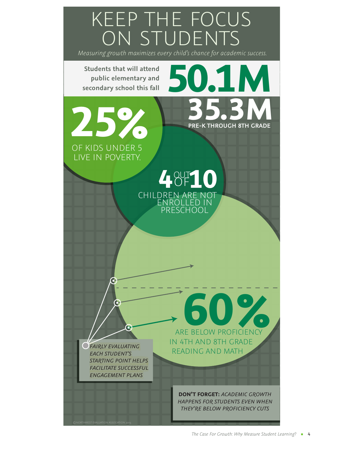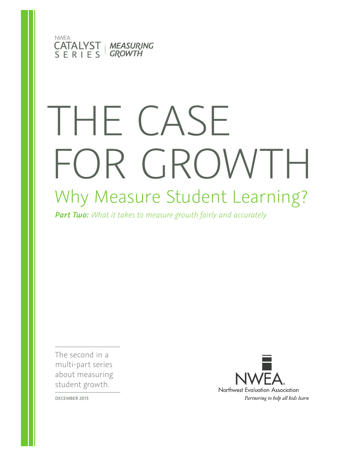

# Why Measure Student Learning? THE CASE FOR GROWTH

*Part Two: What it takes to measure growth fairly and accurately* 

The second in a multi-part series about measuring student growth.



DECEMBER 2013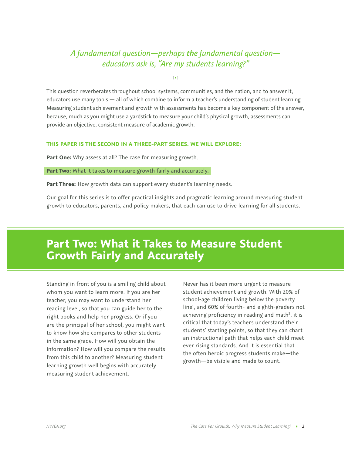### *A fundamental question—perhaps the fundamental question educators ask is, "Are my students learning?"*

**[** █ **]**

This question reverberates throughout school systems, communities, and the nation, and to answer it, educators use many tools — all of which combine to inform a teacher's understanding of student learning. Measuring student achievement and growth with assessments has become a key component of the answer, because, much as you might use a yardstick to measure your child's physical growth, assessments can provide an objective, consistent measure of academic growth.

#### **THIS PAPER IS THE SECOND IN A THREE-PART SERIES. WE WILL EXPLORE:**

Part One: Why assess at all? The case for measuring growth.

**Part Two:** What it takes to measure growth fairly and accurately.

Part Three: How growth data can support every student's learning needs.

Our goal for this series is to offer practical insights and pragmatic learning around measuring student growth to educators, parents, and policy makers, that each can use to drive learning for all students.

## **Part Two: What it Takes to Measure Student Growth Fairly and Accurately**

Standing in front of you is a smiling child about whom you want to learn more. If you are her teacher, you may want to understand her reading level, so that you can guide her to the right books and help her progress. Or if you are the principal of her school, you might want to know how she compares to other students in the same grade. How will you obtain the information? How will you compare the results from this child to another? Measuring student learning growth well begins with accurately measuring student achievement.

Never has it been more urgent to measure student achievement and growth. With 20% of school-age children living below the poverty line<sup>1</sup>, and 60% of fourth- and eighth-graders not achieving proficiency in reading and math<sup>2</sup>, it is critical that today's teachers understand their students' starting points, so that they can chart an instructional path that helps each child meet ever rising standards. And it is essential that the often heroic progress students make—the growth—be visible and made to count.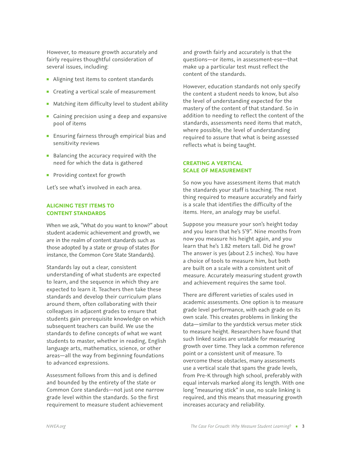However, to measure growth accurately and fairly requires thoughtful consideration of several issues, including:

- Aligning test items to content standards
- Creating a vertical scale of measurement
- Matching item difficulty level to student ability
- Gaining precision using a deep and expansive pool of items
- Ensuring fairness through empirical bias and sensitivity reviews
- Balancing the accuracy required with the need for which the data is gathered
- **Providing context for growth**

Let's see what's involved in each area.

#### **ALIGNING TEST ITEMS TO CONTENT STANDARDS**

When we ask, "What do you want to know?" about student academic achievement and growth, we are in the realm of content standards such as those adopted by a state or group of states (for instance, the Common Core State Standards).

Standards lay out a clear, consistent understanding of what students are expected to learn, and the sequence in which they are expected to learn it. Teachers then take these standards and develop their curriculum plans around them, often collaborating with their colleagues in adjacent grades to ensure that students gain prerequisite knowledge on which subsequent teachers can build. We use the standards to define concepts of what we want students to master, whether in reading, English language arts, mathematics, science, or other areas—all the way from beginning foundations to advanced expressions.

Assessment follows from this and is defined and bounded by the entirety of the state or Common Core standards—not just one narrow grade level within the standards. So the first requirement to measure student achievement

and growth fairly and accurately is that the questions—or items, in assessment-ese—that make up a particular test must reflect the content of the standards.

However, education standards not only specify the content a student needs to know, but also the level of understanding expected for the mastery of the content of that standard. So in addition to needing to reflect the content of the standards, assessments need items that match, where possible, the level of understanding required to assure that what is being assessed reflects what is being taught.

#### **CREATING A VERTICAL SCALE OF MEASUREMENT**

So now you have assessment items that match the standards your staff is teaching. The next thing required to measure accurately and fairly is a scale that identifies the difficulty of the items. Here, an analogy may be useful.

Suppose you measure your son's height today and you learn that he's 5'9". Nine months from now you measure his height again, and you learn that he's 1.82 meters tall. Did he grow? The answer is yes (about 2.5 inches). You have a choice of tools to measure him, but both are built on a scale with a consistent unit of measure. Accurately measuring student growth and achievement requires the same tool.

There are different varieties of scales used in academic assessments. One option is to measure grade level performance, with each grade on its own scale. This creates problems in linking the data—similar to the yardstick versus meter stick to measure height. Researchers have found that such linked scales are unstable for measuring growth over time. They lack a common reference point or a consistent unit of measure. To overcome these obstacles, many assessments use a vertical scale that spans the grade levels, from Pre-K through high school, preferably with equal intervals marked along its length. With one long "measuring stick" in use, no scale linking is required, and this means that measuring growth increases accuracy and reliability.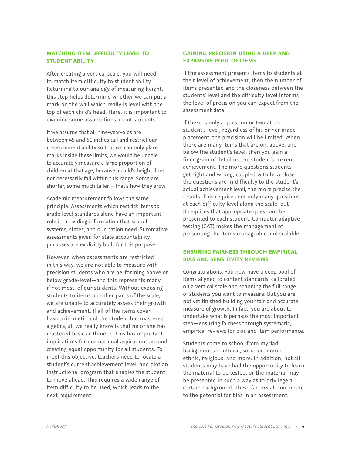#### **MATCHING ITEM DIFFICULTY LEVEL TO STUDENT ABILITY**

After creating a vertical scale, you will need to match item difficulty to student ability. Returning to our analogy of measuring height, this step helps determine whether we can put a mark on the wall which really is level with the top of each child's head. Here, it is important to examine some assumptions about students.

If we assume that all nine-year-olds are between 45 and 51 inches tall and restrict our measurement ability so that we can only place marks inside these limits, we would be unable to accurately measure a large proportion of children at that age, because a child's height does not necessarily fall within this range. Some are shorter, some much taller – that's how they grow.

Academic measurement follows the same principle. Assessments which restrict items to grade level standards alone have an important role in providing information that school systems, states, and our nation need. Summative assessments given for state accountability purposes are explicitly built for this purpose.

However, when assessments are restricted in this way, we are not able to measure with precision students who are performing above or below grade-level—and this represents many, if not most, of our students. Without exposing students to items on other parts of the scale, we are unable to accurately assess their growth and achievement. If all of the items cover basic arithmetic and the student has mastered algebra, all we really know is that he or she has mastered basic arithmetic. This has important implications for our national aspirations around creating equal opportunity for all students. To meet this objective, teachers need to locate a student's current achievement level, and plot an instructional program that enables the student to move ahead. This requires a wide range of item difficulty to be used, which leads to the next requirement.

#### **GAINING PRECISION USING A DEEP AND EXPANSIVE POOL OF ITEMS**

If the assessment presents items to students at their level of achievement, then the number of items presented and the closeness between the students' level and the difficulty level informs the level of precision you can expect from the assessment data.

If there is only a question or two at the student's level, regardless of his or her grade placement, the precision will be limited. When there are many items that are on, above, and below the student's level, then you gain a finer grain of detail on the student's current achievement. The more questions students get right and wrong, coupled with how close the questions are in difficulty to the student's actual achievement level, the more precise the results. This requires not only many questions at each difficulty level along the scale, but it requires that appropriate questions be presented to each student. Computer adaptive testing (CAT) makes the management of presenting the items manageable and scalable.

#### **ENSURING FAIRNESS THROUGH EMPIRICAL BIAS AND SENSITIVITY REVIEWS**

Congratulations: You now have a deep pool of items aligned to content standards, calibrated on a vertical scale and spanning the full range of students you want to measure. But you are not yet finished building your fair and accurate measure of growth. In fact, you are about to undertake what is perhaps the most important step—ensuring fairness through systematic, empirical reviews for bias and item performance.

Students come to school from myriad backgrounds—cultural, socio-economic, ethnic, religious, and more. In addition, not all students may have had the opportunity to learn the material to be tested, or the material may be presented in such a way as to privilege a certain background. These factors all contribute to the potential for bias in an assessment.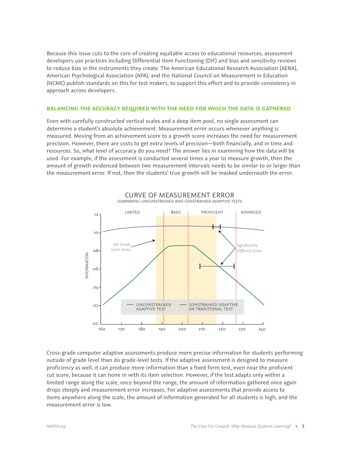Because this issue cuts to the core of creating equitable access to educational resources, assessment developers use practices including Differential Item Functioning (DIF) and bias and sensitivity reviews to reduce bias in the instruments they create. The American Educational Research Association (AERA), American Psychological Association (APA), and the National Council on Measurement in Education (NCME) publish standards on this for test makers, to support this effort and to provide consistency in approach across developers.

#### **BALANCING THE ACCURACY REQUIRED WITH THE NEED FOR WHICH THE DATA IS GATHERED**

Even with carefully constructed vertical scales and a deep item pool, no single assessment can determine a student's absolute achievement. Measurement error occurs whenever anything is measured. Moving from an achievement score to a growth score increases the need for measurement precision. However, there are costs to get extra levels of precision—both financially, and in time and resources. So, what level of accuracy do you need? The answer lies in examining how the data will be used. For example, if the assessment is conducted several times a year to measure growth, then the amount of growth evidenced between two measurement intervals needs to be similar to or larger than the measurement error. If not, then the students' true growth will be masked underneath the error.



Cross-grade computer adaptive assessments produce more precise information for students performing outside of grade level than do grade-level tests. If the adaptive assessment is designed to measure proficiency as well, it can produce more information than a fixed form test, even near the proficient cut score, because it can hone in with its item selection. However, if the test adapts only within a limited range along the scale, once beyond the range, the amount of information gathered once again drops steeply and measurement error increases. For adaptive assessments that provide access to items anywhere along the scale, the amount of information generated for all students is high, and the measurement error is low.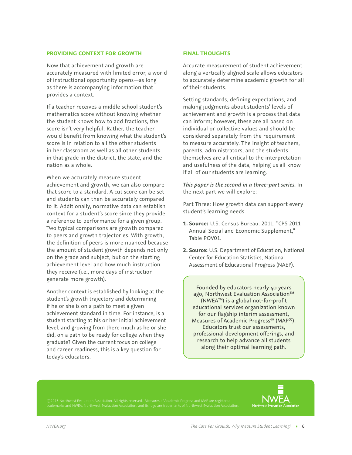#### **PROVIDING CONTEXT FOR GROWTH**

Now that achievement and growth are accurately measured with limited error, a world of instructional opportunity opens—as long as there is accompanying information that provides a context.

If a teacher receives a middle school student's mathematics score without knowing whether the student knows how to add fractions, the score isn't very helpful. Rather, the teacher would benefit from knowing what the student's score is in relation to all the other students in her classroom as well as all other students in that grade in the district, the state, and the nation as a whole.

When we accurately measure student achievement and growth, we can also compare that score to a standard. A cut score can be set and students can then be accurately compared to it. Additionally, normative data can establish context for a student's score since they provide a reference to performance for a given group. Two typical comparisons are growth compared to peers and growth trajectories. With growth, the definition of peers is more nuanced because the amount of student growth depends not only on the grade and subject, but on the starting achievement level and how much instruction they receive (i.e., more days of instruction generate more growth).

Another context is established by looking at the student's growth trajectory and determining if he or she is on a path to meet a given achievement standard in time. For instance, is a student starting at his or her initial achievement level, and growing from there much as he or she did, on a path to be ready for college when they graduate? Given the current focus on college and career readiness, this is a key question for today's educators.

#### **FINAL THOUGHTS**

Accurate measurement of student achievement along a vertically aligned scale allows educators to accurately determine academic growth for all of their students.

Setting standards, defining expectations, and making judgments about students' levels of achievement and growth is a process that data can inform; however, these are all based on individual or collective values and should be considered separately from the requirement to measure accurately. The insight of teachers, parents, administrators, and the students themselves are all critical to the interpretation and usefulness of the data, helping us all know if all of our students are learning.

*This paper is the second in a three-part series.* In the next part we will explore:

Part Three: How growth data can support every student's learning needs

- **1. Source:** U.S. Census Bureau. 2011. "CPS 2011 Annual Social and Economic Supplement," Table POV01.
- **2. Source:** U.S. Department of Education, National Center for Education Statistics, National Assessment of Educational Progress (NAEP).

Founded by educators nearly 40 years ago, Northwest Evaluation Association™ (NWEA™) is a global not-for-profit educational services organization known for our flagship interim assessment, Measures of Academic Progress® (MAP®). Educators trust our assessments, professional development oferings, and research to help advance all students along their optimal learning path.

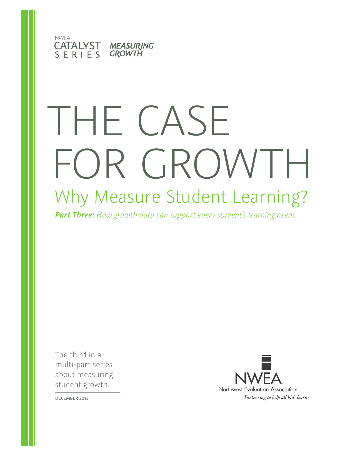

# Why Measure Student Learning? THE CASE FOR GROWTH

*Part Three: How growth data can support every student's learning needs*

The third in a multi-part series about measuring student growth.



DECEMBER 2013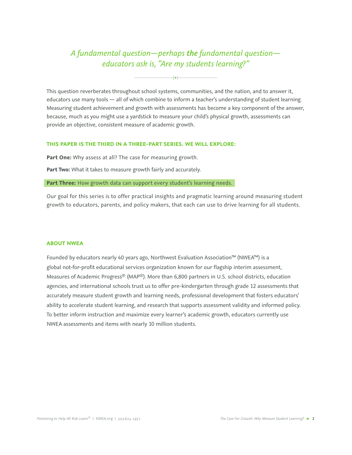### *A fundamental question—perhaps the fundamental question educators ask is, "Are my students learning?"*

**[** █ **]**

This question reverberates throughout school systems, communities, and the nation, and to answer it, educators use many tools — all of which combine to inform a teacher's understanding of student learning. Measuring student achievement and growth with assessments has become a key component of the answer, because, much as you might use a yardstick to measure your child's physical growth, assessments can provide an objective, consistent measure of academic growth.

#### **THIS PAPER IS THE THIRD IN A THREE-PART SERIES. WE WILL EXPLORE:**

Part One: Why assess at all? The case for measuring growth.

**Part Two:** What it takes to measure growth fairly and accurately.

Part Three: How growth data can support every student's learning needs.

Our goal for this series is to offer practical insights and pragmatic learning around measuring student growth to educators, parents, and policy makers, that each can use to drive learning for all students.

#### **ABOUT NWEA**

Founded by educators nearly 40 years ago, Northwest Evaluation Association™ (NWEA™) is a global not-for-profit educational services organization known for our flagship interim assessment, Measures of Academic Progress® (MAP®). More than 6,800 partners in U.S. school districts, education agencies, and international schools trust us to offer pre-kindergarten through grade 12 assessments that accurately measure student growth and learning needs, professional development that fosters educators' ability to accelerate student learning, and research that supports assessment validity and informed policy. To better inform instruction and maximize every learner's academic growth, educators currently use NWEA assessments and items with nearly 10 million students.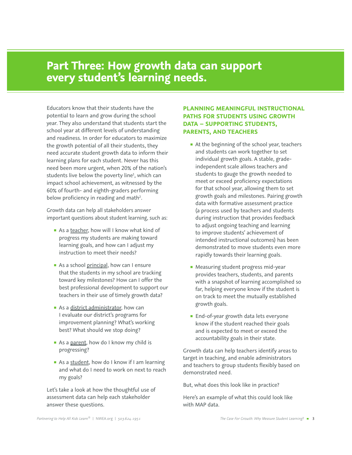## **Part Three: How growth data can support every student's learning needs.**

Educators know that their students have the potential to learn and grow during the school year. They also understand that students start the school year at different levels of understanding and readiness. In order for educators to maximize the growth potential of all their students, they need accurate student growth data to inform their learning plans for each student. Never has this need been more urgent, when 20% of the nation's students live below the poverty line<sup>1</sup>, which can impact school achievement, as witnessed by the 60% of fourth- and eighth-graders performing below proficiency in reading and math<sup>2</sup>.

Growth data can help all stakeholders answer important questions about student learning, such as:

- As a teacher, how will I know what kind of progress my students are making toward learning goals, and how can I adjust my instruction to meet their needs?
- As a school principal, how can I ensure that the students in my school are tracking toward key milestones? How can I offer the best professional development to support our teachers in their use of timely growth data?
- As a district administrator, how can I evaluate our district's programs for improvement planning? What's working best? What should we stop doing?
- As a parent, how do I know my child is progressing?
- As a student, how do I know if I am learning and what do I need to work on next to reach my goals?

Let's take a look at how the thoughtful use of assessment data can help each stakeholder answer these questions.

#### **PLANNING MEANINGFUL INSTRUCTIONAL PATHS FOR STUDENTS USING GROWTH DATA – SUPPORTING STUDENTS, PARENTS, AND TEACHERS**

- At the beginning of the school year, teachers and students can work together to set individual growth goals. A stable, gradeindependent scale allows teachers and students to gauge the growth needed to meet or exceed proficiency expectations for that school year, allowing them to set growth goals and milestones. Pairing growth data with formative assessment practice (a process used by teachers and students during instruction that provides feedback to adjust ongoing teaching and learning to improve students' achievement of intended instructional outcomes) has been demonstrated to move students even more rapidly towards their learning goals.
- Measuring student progress mid-year provides teachers, students, and parents with a snapshot of learning accomplished so far, helping everyone know if the student is on track to meet the mutually established growth goals.
- End-of-year growth data lets everyone know if the student reached their goals and is expected to meet or exceed the accountability goals in their state.

Growth data can help teachers identify areas to target in teaching, and enable administrators and teachers to group students flexibly based on demonstrated need.

But, what does this look like in practice?

Here's an example of what this could look like with MAP data.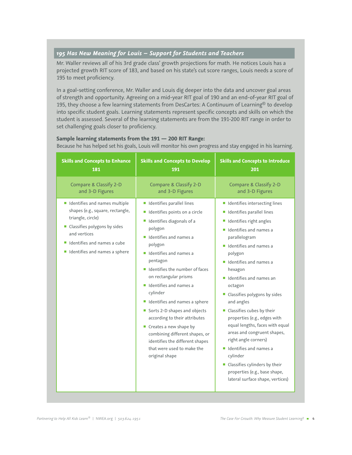#### *195 Has New Meaning for Louis – Support for Students and Teachers*

Mr. Waller reviews all of his 3rd grade class' growth projections for math. He notices Louis has a projected growth RIT score of 183, and based on his state's cut score ranges, Louis needs a score of 195 to meet proficiency.

In a goal-setting conference, Mr. Waller and Louis dig deeper into the data and uncover goal areas of strength and opportunity. Agreeing on a mid-year RIT goal of 190 and an end-of-year RIT goal of 195, they choose a few learning statements from DesCartes: A Continuum of Learning<sup>®</sup> to develop into specific student goals. Learning statements represent specific concepts and skills on which the student is assessed. Several of the learning statements are from the 191-200 RIT range in order to set challenging goals closer to proficiency.

#### **Sample learning statements from the 191 — 200 RIT Range:**

Because he has helped set his goals, Louis will monitor his own progress and stay engaged in his learning.

| <b>Skills and Concepts to Enhance</b>                                                                                                                                                                        | <b>Skills and Concepts to Develop</b>                                                                                                                                                                                                                                                                                                                                                                                                                                                                                                       | <b>Skills and Concepts to Introduce</b>                                                                                                                                                                                                                                                                                                                                                                                                                                                                                                                                                                                          |
|--------------------------------------------------------------------------------------------------------------------------------------------------------------------------------------------------------------|---------------------------------------------------------------------------------------------------------------------------------------------------------------------------------------------------------------------------------------------------------------------------------------------------------------------------------------------------------------------------------------------------------------------------------------------------------------------------------------------------------------------------------------------|----------------------------------------------------------------------------------------------------------------------------------------------------------------------------------------------------------------------------------------------------------------------------------------------------------------------------------------------------------------------------------------------------------------------------------------------------------------------------------------------------------------------------------------------------------------------------------------------------------------------------------|
| 181                                                                                                                                                                                                          | 191                                                                                                                                                                                                                                                                                                                                                                                                                                                                                                                                         | 201                                                                                                                                                                                                                                                                                                                                                                                                                                                                                                                                                                                                                              |
| <b>Compare &amp; Classify 2-D</b>                                                                                                                                                                            | <b>Compare &amp; Classify 2-D</b>                                                                                                                                                                                                                                                                                                                                                                                                                                                                                                           | <b>Compare &amp; Classify 2-D</b>                                                                                                                                                                                                                                                                                                                                                                                                                                                                                                                                                                                                |
| and 3-D Figures                                                                                                                                                                                              | and 3-D Figures                                                                                                                                                                                                                                                                                                                                                                                                                                                                                                                             | and 3-D Figures                                                                                                                                                                                                                                                                                                                                                                                                                                                                                                                                                                                                                  |
| I Identifies and names multiple<br>shapes (e.g., square, rectangle,<br>triangle, circle)<br>Classifies polygons by sides<br>and vertices<br>I Identifies and names a cube<br>I Identifies and names a sphere | Identifies parallel lines<br>■ Identifies points on a circle<br>Identifies diagonals of a<br>polygon<br>I Identifies and names a<br>polygon<br>I Identifies and names a<br>pentagon<br>I Identifies the number of faces<br>on rectangular prisms<br>I Identifies and names a<br>cylinder<br>I Identifies and names a sphere<br>Sorts 2-D shapes and objects<br>according to their attributes<br>Creates a new shape by<br>combining different shapes, or<br>identifies the different shapes<br>that were used to make the<br>original shape | I Identifies intersecting lines<br>Identifies parallel lines<br>Identifies right angles<br>In Identifies and names a<br>parallelogram<br>In Identifies and names a<br>polygon<br>I Identifies and names a<br>hexagon<br>$\blacksquare$ Identifies and names an<br>octagon<br>■ Classifies polygons by sides<br>and angles<br>■ Classifies cubes by their<br>properties (e.g., edges with<br>equal lengths, faces with equal<br>areas and congruent shapes,<br>right angle corners)<br>I Identifies and names a<br>cylinder<br>Classifies cylinders by their<br>properties (e.g., base shape,<br>lateral surface shape, vertices) |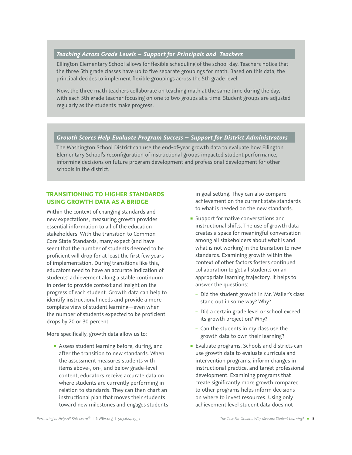#### *Teaching Across Grade Levels – Support for Principals and Teachers*

Ellington Elementary School allows for flexible scheduling of the school day. Teachers notice that the three 5th grade classes have up to five separate groupings for math. Based on this data, the principal decides to implement flexible groupings across the 5th grade level.

Now, the three math teachers collaborate on teaching math at the same time during the day, with each 5th grade teacher focusing on one to two groups at a time. Student groups are adjusted regularly as the students make progress.

#### *Growth Scores Help Evaluate Program Success – Support for District Administrators*

The Washington School District can use the end-of-year growth data to evaluate how Ellington Elementary School's reconfiguration of instructional groups impacted student performance, informing decisions on future program development and professional development for other schools in the district.

#### **TRANSITIONING TO HIGHER STANDARDS USING GROWTH DATA AS A BRIDGE**

Within the context of changing standards and new expectations, measuring growth provides essential information to all of the education stakeholders. With the transition to Common Core State Standards, many expect (and have seen) that the number of students deemed to be proficient will drop for at least the first few years of implementation. During transitions like this, educators need to have an accurate indication of students' achievement along a stable continuum in order to provide context and insight on the progress of each student. Growth data can help to identify instructional needs and provide a more complete view of student learning—even when the number of students expected to be proficient drops by 20 or 30 percent.

More specifically, growth data allow us to:

■ Assess student learning before, during, and after the transition to new standards. When the assessment measures students with items above-, on-, and below grade-level content, educators receive accurate data on where students are currently performing in relation to standards. They can then chart an instructional plan that moves their students toward new milestones and engages students in goal setting. They can also compare achievement on the current state standards to what is needed on the new standards.

- **B** Support formative conversations and instructional shifts. The use of growth data creates a space for meaningful conversation among all stakeholders about what is and what is not working in the transition to new standards. Examining growth within the context of other factors fosters continued collaboration to get all students on an appropriate learning trajectory. It helps to answer the questions:
	- Did the student growth in Mr. Waller's class stand out in some way? Why?
	- Did a certain grade level or school exceed its growth projection? Why?
	- Can the students in my class use the growth data to own their learning?
- Evaluate programs. Schools and districts can use growth data to evaluate curricula and intervention programs, inform changes in instructional practice, and target professional development. Examining programs that create significantly more growth compared to other programs helps inform decisions on where to invest resources. Using only achievement level student data does not